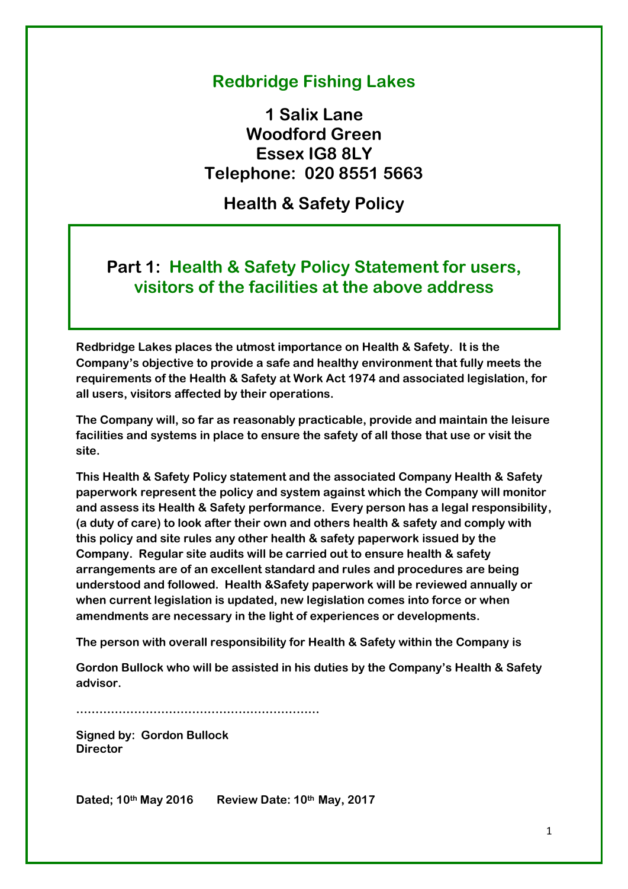# **Redbridge Fishing Lakes**

**1 Salix Lane Woodford Green Essex IG8 8LY Telephone: 020 8551 5663**

**Health & Safety Policy**

# **Part 1: Health & Safety Policy Statement for users, visitors of the facilities at the above address**

**Redbridge Lakes places the utmost importance on Health & Safety. It is the Company's objective to provide a safe and healthy environment that fully meets the requirements of the Health & Safety at Work Act 1974 and associated legislation, for all users, visitors affected by their operations.**

**The Company will, so far as reasonably practicable, provide and maintain the leisure facilities and systems in place to ensure the safety of all those that use or visit the site.**

**This Health & Safety Policy statement and the associated Company Health & Safety paperwork represent the policy and system against which the Company will monitor and assess its Health & Safety performance. Every person has a legal responsibility, (a duty of care) to look after their own and others health & safety and comply with this policy and site rules any other health & safety paperwork issued by the Company. Regular site audits will be carried out to ensure health & safety arrangements are of an excellent standard and rules and procedures are being understood and followed. Health &Safety paperwork will be reviewed annually or when current legislation is updated, new legislation comes into force or when amendments are necessary in the light of experiences or developments.**

**The person with overall responsibility for Health & Safety within the Company is**

**Gordon Bullock who will be assisted in his duties by the Company's Health & Safety advisor.**

**………………………………………………………**

**Signed by: Gordon Bullock Director**

**Dated; 10th May 2016 Review Date: 10th May, 2017**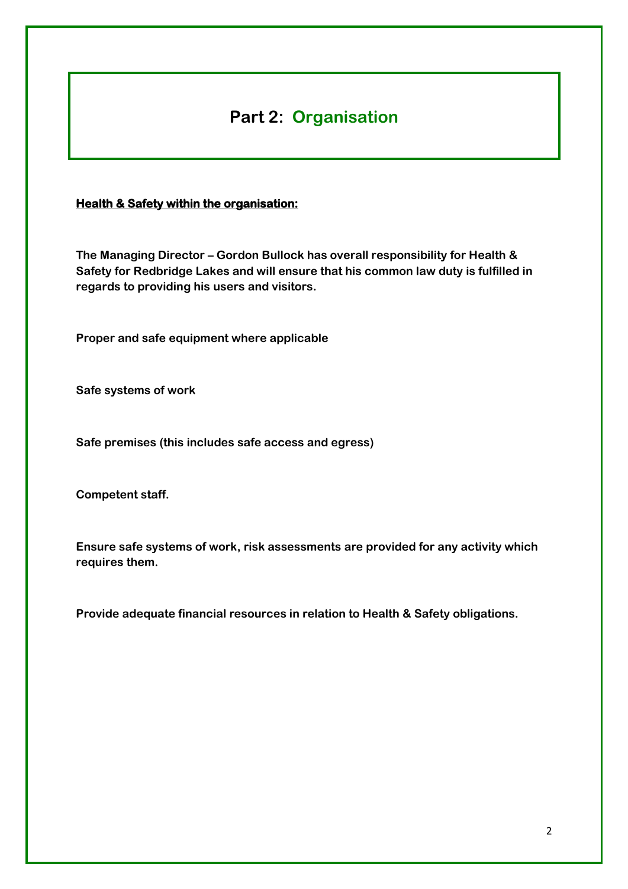# **Part 2: Organisation**

#### **Health & Safety within the organisation:**

**The Managing Director – Gordon Bullock has overall responsibility for Health & Safety for Redbridge Lakes and will ensure that his common law duty is fulfilled in regards to providing his users and visitors.**

**Proper and safe equipment where applicable**

**Safe systems of work**

**Safe premises (this includes safe access and egress)**

**Competent staff.**

**Ensure safe systems of work, risk assessments are provided for any activity which requires them.**

**Provide adequate financial resources in relation to Health & Safety obligations.**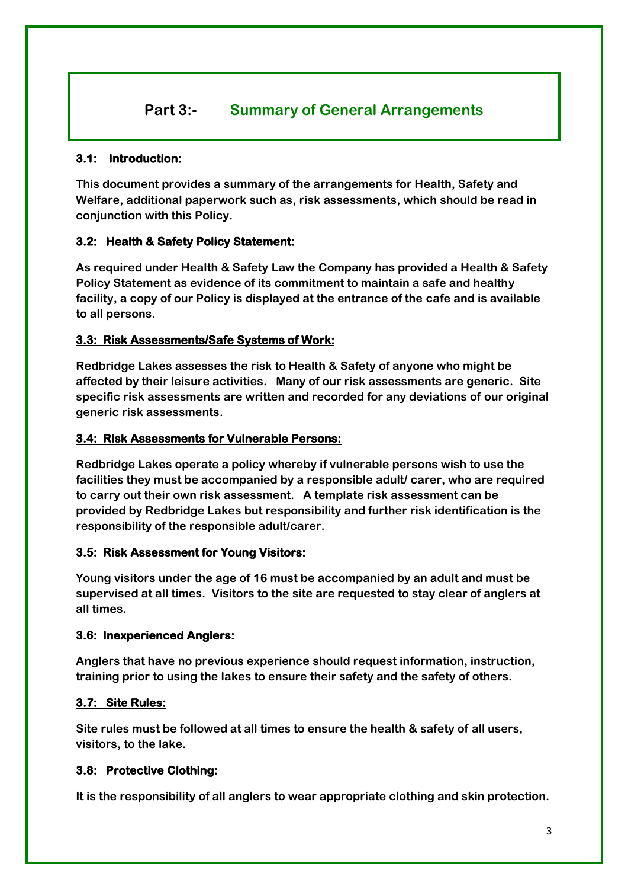# **Part 3:- Summary of General Arrangements**

#### **3.1: Introduction:**

**This document provides a summary of the arrangements for Health, Safety and Welfare, additional paperwork such as, risk assessments, which should be read in conjunction with this Policy.**

#### **3.2: Health & Safety Policy Statement:**

**As required under Health & Safety Law the Company has provided a Health & Safety Policy Statement as evidence of its commitment to maintain a safe and healthy facility, a copy of our Policy is displayed at the entrance of the cafe and is available to all persons.**

#### **3.3: Risk Assessments/Safe Systems of Work:**

**Redbridge Lakes assesses the risk to Health & Safety of anyone who might be affected by their leisure activities. Many of our risk assessments are generic. Site specific risk assessments are written and recorded for any deviations of our original generic risk assessments.** 

#### **3.4: Risk Assessments for Vulnerable Persons:**

**Redbridge Lakes operate a policy whereby if vulnerable persons wish to use the facilities they must be accompanied by a responsible adult/ carer, who are required to carry out their own risk assessment. A template risk assessment can be provided by Redbridge Lakes but responsibility and further risk identification is the responsibility of the responsible adult/carer.**

#### **3.5: Risk Assessment for Young Visitors:**

**Young visitors under the age of 16 must be accompanied by an adult and must be supervised at all times. Visitors to the site are requested to stay clear of anglers at all times.**

#### **3.6: Inexperienced Anglers:**

**Anglers that have no previous experience should request information, instruction, training prior to using the lakes to ensure their safety and the safety of others.**

#### **3.7: Site Rules:**

**Site rules must be followed at all times to ensure the health & safety of all users, visitors, to the lake.**

#### **3.8: Protective Clothing:**

**It is the responsibility of all anglers to wear appropriate clothing and skin protection.**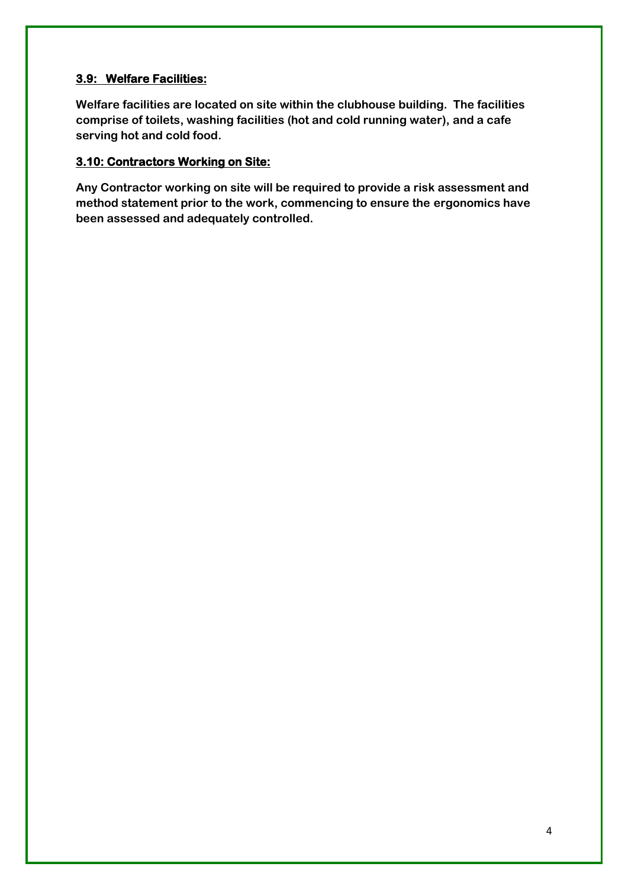### **3.9: Welfare Facilities:**

**Welfare facilities are located on site within the clubhouse building. The facilities comprise of toilets, washing facilities (hot and cold running water), and a cafe serving hot and cold food.**

#### **3.10: Contractors Working on Site:**

**Any Contractor working on site will be required to provide a risk assessment and method statement prior to the work, commencing to ensure the ergonomics have been assessed and adequately controlled.**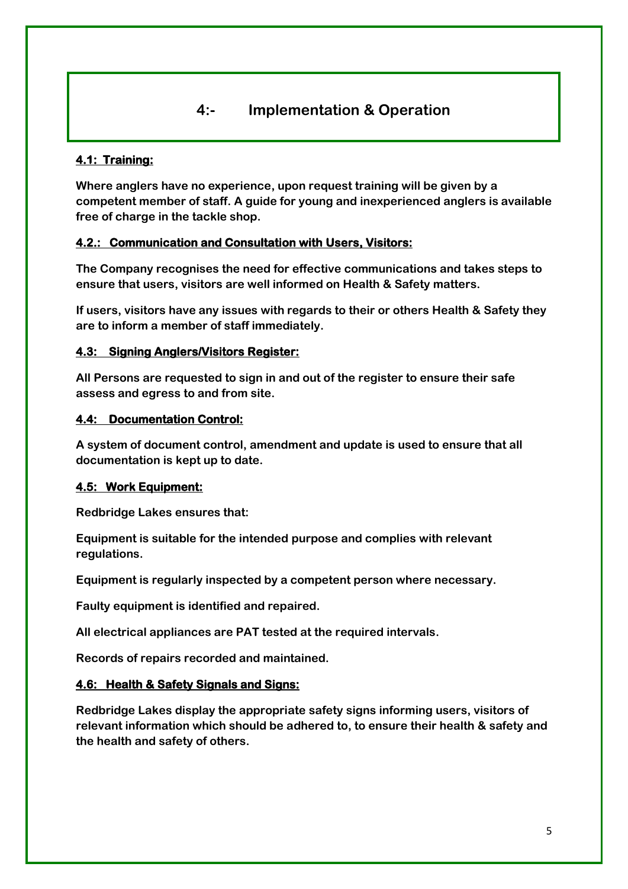### **4:- Implementation & Operation**

#### **4.1: Training:**

**Where anglers have no experience, upon request training will be given by a competent member of staff. A guide for young and inexperienced anglers is available free of charge in the tackle shop.** 

#### **4.2.: Communication and Consultation with Users, Visitors:**

**The Company recognises the need for effective communications and takes steps to ensure that users, visitors are well informed on Health & Safety matters.**

**If users, visitors have any issues with regards to their or others Health & Safety they are to inform a member of staff immediately.**

#### **4.3: Signing Anglers/Visitors Register:**

**All Persons are requested to sign in and out of the register to ensure their safe assess and egress to and from site.**

#### **4.4: Documentation Control:**

**A system of document control, amendment and update is used to ensure that all documentation is kept up to date.**

#### **4.5: Work Equipment:**

**Redbridge Lakes ensures that:** 

**Equipment is suitable for the intended purpose and complies with relevant regulations.**

**Equipment is regularly inspected by a competent person where necessary.**

**Faulty equipment is identified and repaired.**

**All electrical appliances are PAT tested at the required intervals.**

**Records of repairs recorded and maintained.**

#### **4.6: Health & Safety Signals and Signs:**

**Redbridge Lakes display the appropriate safety signs informing users, visitors of relevant information which should be adhered to, to ensure their health & safety and the health and safety of others.**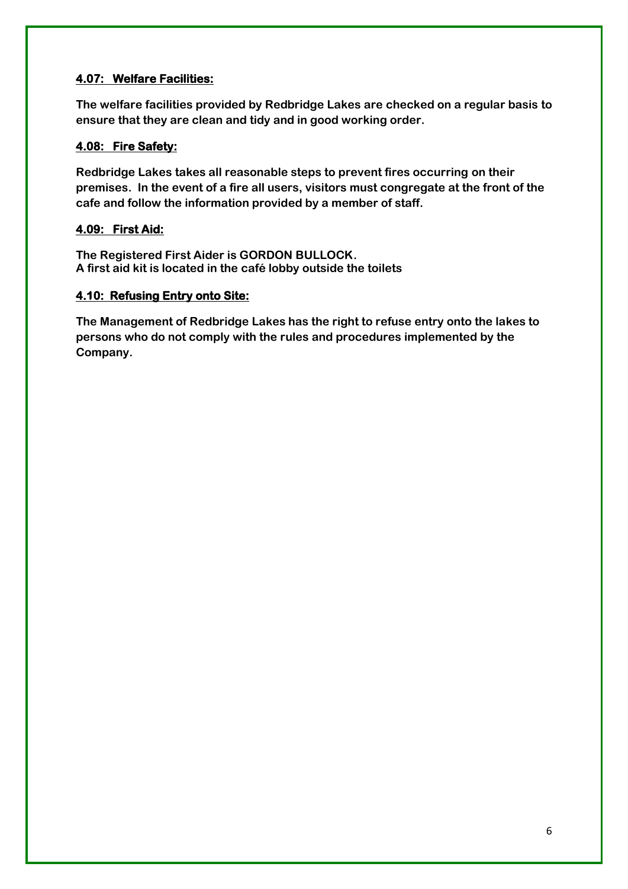### **4.07: Welfare Facilities:**

**The welfare facilities provided by Redbridge Lakes are checked on a regular basis to ensure that they are clean and tidy and in good working order.**

### **4.08: Fire Safety:**

**Redbridge Lakes takes all reasonable steps to prevent fires occurring on their premises. In the event of a fire all users, visitors must congregate at the front of the cafe and follow the information provided by a member of staff.**

### **4.09: First Aid:**

**The Registered First Aider is GORDON BULLOCK. A first aid kit is located in the café lobby outside the toilets**

#### **4.10: Refusing Entry onto Site:**

**The Management of Redbridge Lakes has the right to refuse entry onto the lakes to persons who do not comply with the rules and procedures implemented by the Company.**